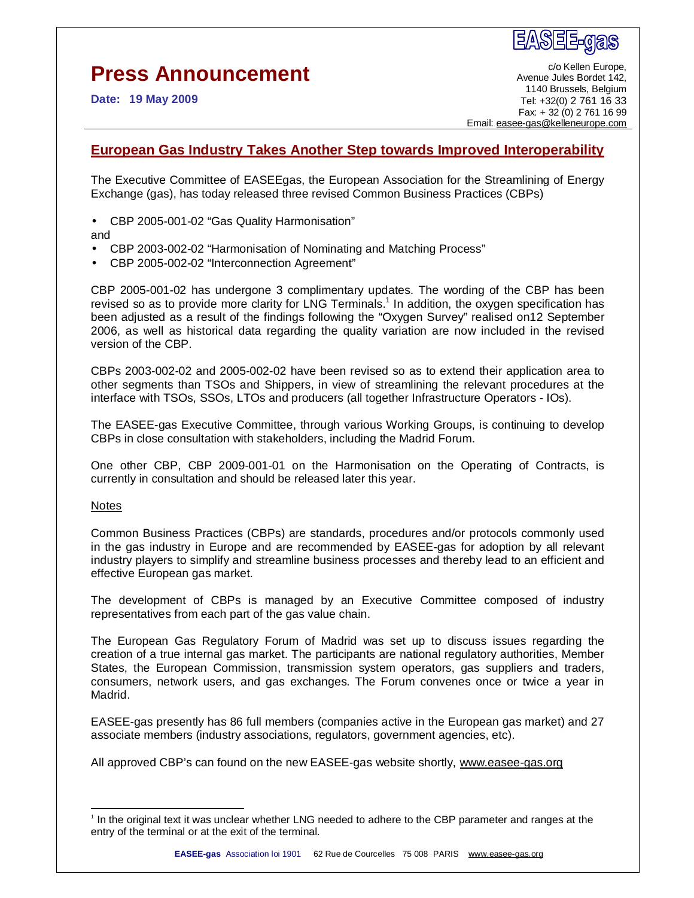## **Press Announcement**

**Date: 19 May 2009** 

c/o Kellen Europe, Avenue Jules Bordet 142, 1140 Brussels, Belgium Tel: +32(0) 2 761 16 33 Fax: + 32 (0) 2 761 16 99 Email: [easee-gas@kelleneurope.com](mailto:easee-gas@kelleneurope.com)

## **European Gas Industry Takes Another Step towards Improved Interoperability**

The Executive Committee of EASEEgas, the European Association for the Streamlining of Energy Exchange (gas), has today released three revised Common Business Practices (CBPs)

• CBP 2005-001-02 "Gas Quality Harmonisation"

and

- CBP 2003-002-02 "Harmonisation of Nominating and Matching Process"
- CBP 2005-002-02 "Interconnection Agreement"

CBP 2005-001-02 has undergone 3 complimentary updates. The wording of the CBP has been revised so as to provide more clarity for LNG Terminals.<sup>1</sup> In addition, the oxygen specification has been adjusted as a result of the findings following the "Oxygen Survey" realised on12 September 2006, as well as historical data regarding the quality variation are now included in the revised version of the CBP.

CBPs 2003-002-02 and 2005-002-02 have been revised so as to extend their application area to other segments than TSOs and Shippers, in view of streamlining the relevant procedures at the interface with TSOs, SSOs, LTOs and producers (all together Infrastructure Operators - IOs).

The EASEE-gas Executive Committee, through various Working Groups, is continuing to develop CBPs in close consultation with stakeholders, including the Madrid Forum.

One other CBP, CBP 2009-001-01 on the Harmonisation on the Operating of Contracts, is currently in consultation and should be released later this year.

## Notes

-

Common Business Practices (CBPs) are standards, procedures and/or protocols commonly used in the gas industry in Europe and are recommended by EASEE-gas for adoption by all relevant industry players to simplify and streamline business processes and thereby lead to an efficient and effective European gas market.

The development of CBPs is managed by an Executive Committee composed of industry representatives from each part of the gas value chain.

The European Gas Regulatory Forum of Madrid was set up to discuss issues regarding the creation of a true internal gas market. The participants are national regulatory authorities, Member States, the European Commission, transmission system operators, gas suppliers and traders, consumers, network users, and gas exchanges. The Forum convenes once or twice a year in Madrid.

EASEE-gas presently has 86 full members (companies active in the European gas market) and 27 associate members (industry associations, regulators, government agencies, etc).

All approved CBP's can found on the new EASEE-gas website shortly, [www.easee-gas.org](http://www.easee-gas.org)

<sup>1</sup> In the original text it was unclear whether LNG needed to adhere to the CBP parameter and ranges at the entry of the terminal or at the exit of the terminal.